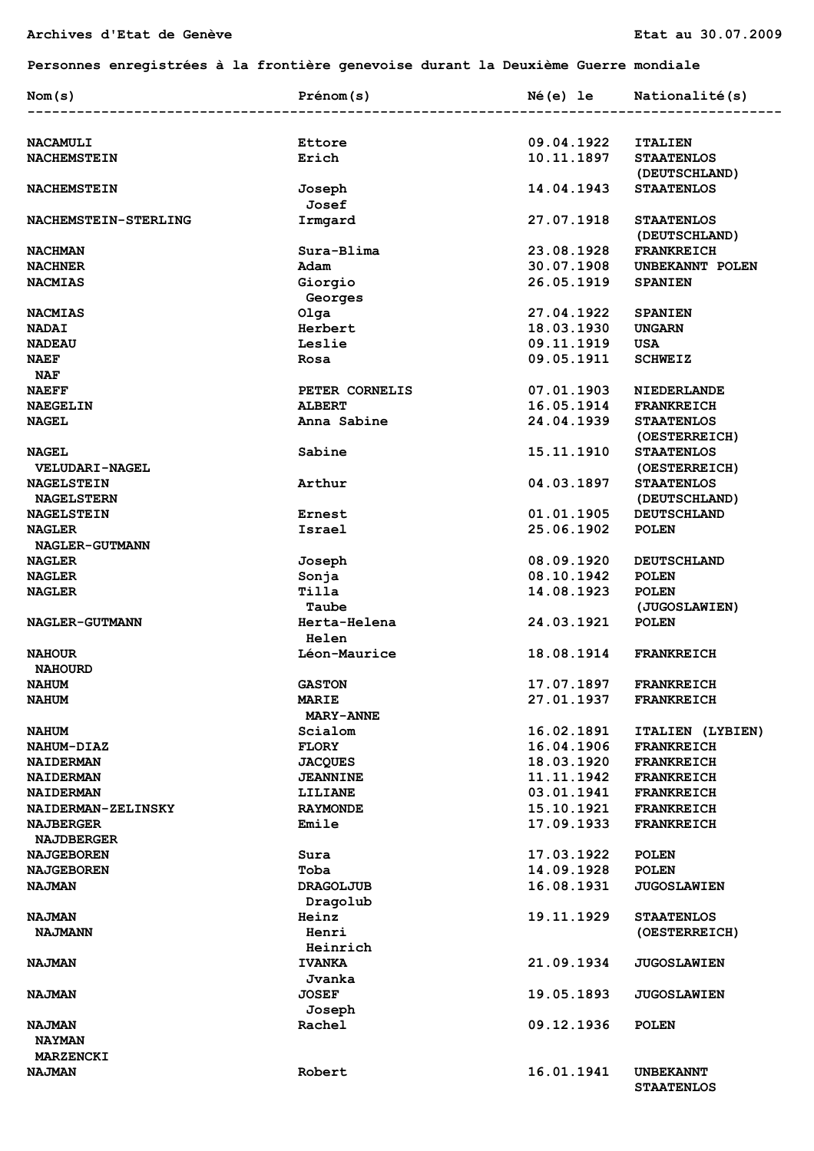## **Personnes enregistrées à la frontière genevoise durant la Deuxième Guerre mondiale**

| Nom(s)                                 | Prénom(s)                    | Né(e) le   | Nationalité(s)                        |
|----------------------------------------|------------------------------|------------|---------------------------------------|
|                                        |                              |            |                                       |
| <b>NACAMULI</b>                        | Ettore                       | 09.04.1922 | <b>ITALIEN</b>                        |
| <b>NACHEMSTEIN</b>                     | Erich                        | 10.11.1897 | <b>STAATENLOS</b><br>(DEUTSCHLAND)    |
| <b>NACHEMSTEIN</b>                     | Joseph<br>Josef              | 14.04.1943 | <b>STAATENLOS</b>                     |
| NACHEMSTEIN-STERLING                   | Irmgard                      | 27.07.1918 | <b>STAATENLOS</b><br>(DEUTSCHLAND)    |
| <b>NACHMAN</b>                         | Sura-Blima                   | 23.08.1928 | <b>FRANKREICH</b>                     |
| <b>NACHNER</b>                         | Adam                         | 30.07.1908 | UNBEKANNT POLEN                       |
| <b>NACMIAS</b>                         | Giorgio                      | 26.05.1919 | <b>SPANIEN</b>                        |
|                                        | Georges                      |            |                                       |
| <b>NACMIAS</b>                         | Olga                         | 27.04.1922 | <b>SPANIEN</b>                        |
| <b>NADAI</b>                           | Herbert                      | 18.03.1930 | <b>UNGARN</b>                         |
| <b>NADEAU</b>                          | Leslie                       | 09.11.1919 | USA                                   |
| <b>NAEF</b>                            | Rosa                         | 09.05.1911 | <b>SCHWEIZ</b>                        |
| <b>NAF</b>                             |                              |            |                                       |
| <b>NAEFF</b>                           | PETER CORNELIS               | 07.01.1903 | <b>NIEDERLANDE</b>                    |
| <b>NAEGELIN</b>                        | <b>ALBERT</b>                | 16.05.1914 | <b>FRANKREICH</b>                     |
| <b>NAGEL</b>                           | Anna Sabine                  | 24.04.1939 | <b>STAATENLOS</b>                     |
|                                        |                              |            | (OESTERREICH)                         |
| <b>NAGEL</b><br>VELUDARI-NAGEL         | Sabine                       | 15.11.1910 | <b>STAATENLOS</b><br>(OESTERREICH)    |
| <b>NAGELSTEIN</b><br><b>NAGELSTERN</b> | Arthur                       | 04.03.1897 | <b>STAATENLOS</b><br>(DEUTSCHLAND)    |
| <b>NAGELSTEIN</b>                      | Ernest                       | 01.01.1905 | <b>DEUTSCHLAND</b>                    |
| <b>NAGLER</b>                          | Israel                       | 25.06.1902 | <b>POLEN</b>                          |
| NAGLER-GUTMANN                         |                              |            |                                       |
| <b>NAGLER</b>                          | Joseph                       | 08.09.1920 | <b>DEUTSCHLAND</b>                    |
| <b>NAGLER</b>                          | Sonja                        | 08.10.1942 | <b>POLEN</b>                          |
| <b>NAGLER</b>                          | Tilla<br>Taube               | 14.08.1923 | <b>POLEN</b><br>(JUGOSLAWIEN)         |
| NAGLER-GUTMANN                         | Herta-Helena<br><b>Helen</b> | 24.03.1921 | <b>POLEN</b>                          |
| <b>NAHOUR</b>                          | Léon-Maurice                 | 18.08.1914 | <b>FRANKREICH</b>                     |
| <b>NAHOURD</b>                         |                              |            |                                       |
| <b>NAHUM</b>                           | <b>GASTON</b>                | 17.07.1897 | <b>FRANKREICH</b>                     |
| <b>NAHUM</b>                           | <b>MARIE</b>                 | 27.01.1937 | <b>FRANKREICH</b>                     |
|                                        | <b>MARY-ANNE</b>             |            |                                       |
| <b>NAHUM</b>                           | Scialom                      | 16.02.1891 | ITALIEN (LYBIEN)                      |
| <b>NAHUM-DIAZ</b>                      | <b>FLORY</b>                 | 16.04.1906 | <b>FRANKREICH</b>                     |
| <b>NAIDERMAN</b>                       | <b>JACQUES</b>               | 18.03.1920 | <b>FRANKREICH</b>                     |
| <b>NAIDERMAN</b>                       | <b>JEANNINE</b>              | 11.11.1942 | <b>FRANKREICH</b>                     |
| <b>NAIDERMAN</b>                       | LILIANE                      | 03.01.1941 | <b>FRANKREICH</b>                     |
| NAIDERMAN-ZELINSKY                     | <b>RAYMONDE</b>              | 15.10.1921 | <b>FRANKREICH</b>                     |
| <b>NAJBERGER</b><br><b>NAJDBERGER</b>  | Emile                        | 17.09.1933 | <b>FRANKREICH</b>                     |
| <b>NAJGEBOREN</b>                      | Sura                         | 17.03.1922 | <b>POLEN</b>                          |
| <b>NAJGEBOREN</b>                      | Toba                         | 14.09.1928 | <b>POLEN</b>                          |
| <b>NAJMAN</b>                          | <b>DRAGOLJUB</b>             | 16.08.1931 | <b>JUGOSLAWIEN</b>                    |
| <b>NAJMAN</b>                          | Dragolub<br>Heinz            | 19.11.1929 | <b>STAATENLOS</b>                     |
| <b>NAJMANN</b>                         | Henri                        |            | (OESTERREICH)                         |
|                                        |                              |            |                                       |
| <b>NAJMAN</b>                          | Heinrich<br><b>IVANKA</b>    | 21.09.1934 | <b>JUGOSLAWIEN</b>                    |
|                                        | Jvanka                       |            |                                       |
| <b>NAJMAN</b>                          | <b>JOSEF</b><br>Joseph       | 19.05.1893 | <b>JUGOSLAWIEN</b>                    |
| <b>NAJMAN</b>                          | Rachel                       | 09.12.1936 | <b>POLEN</b>                          |
| <b>NAYMAN</b>                          |                              |            |                                       |
| MARZENCKI                              |                              |            |                                       |
| <b>NAJMAN</b>                          | Robert                       | 16.01.1941 | <b>UNBEKANNT</b><br><b>STAATENLOS</b> |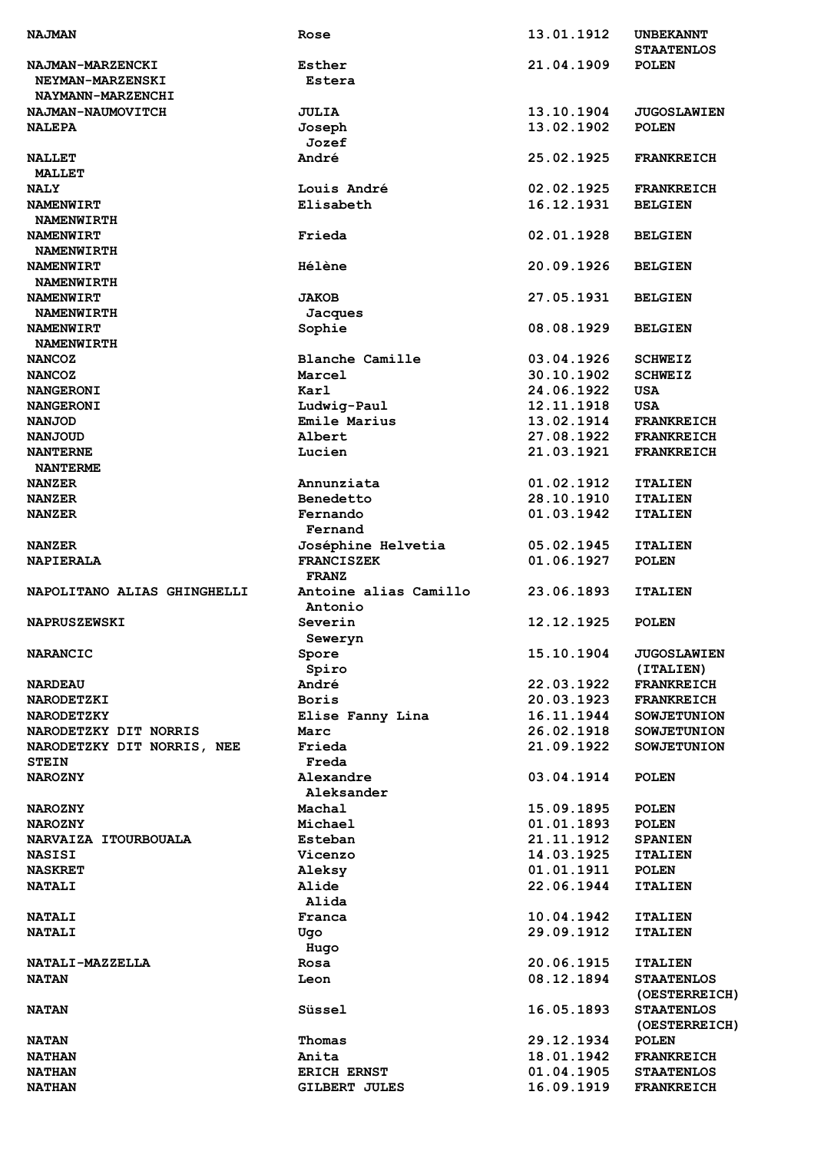| <b>NAJMAN</b>               | Rose                  | 13.01.1912 | <b>UNBEKANNT</b><br><b>STAATENLOS</b> |
|-----------------------------|-----------------------|------------|---------------------------------------|
| <b>NAJMAN-MARZENCKI</b>     | Esther                | 21.04.1909 | <b>POLEN</b>                          |
| <b>NEYMAN-MARZENSKI</b>     | Estera                |            |                                       |
| <b>NAYMANN-MARZENCHI</b>    |                       |            |                                       |
| NAJMAN-NAUMOVITCH           | <b>JULIA</b>          | 13.10.1904 | <b>JUGOSLAWIEN</b>                    |
| <b>NALEPA</b>               | Joseph                | 13.02.1902 | <b>POLEN</b>                          |
|                             | Jozef                 |            |                                       |
| <b>NALLET</b>               | André                 | 25.02.1925 | <b>FRANKREICH</b>                     |
| <b>MALLET</b>               |                       |            |                                       |
| <b>NALY</b>                 | Louis André           | 02.02.1925 | <b>FRANKREICH</b>                     |
| <b>NAMENWIRT</b>            | Elisabeth             | 16.12.1931 | <b>BELGIEN</b>                        |
| <b>NAMENWIRTH</b>           |                       |            |                                       |
| NAMENWIRT                   | Frieda                | 02.01.1928 |                                       |
|                             |                       |            | <b>BELGIEN</b>                        |
| <b>NAMENWIRTH</b>           | <b>Hélène</b>         | 20.09.1926 |                                       |
| <b>NAMENWIRT</b>            |                       |            | <b>BELGIEN</b>                        |
| <b>NAMENWIRTH</b>           |                       |            |                                       |
| NAMENWIRT                   | <b>JAKOB</b>          | 27.05.1931 | <b>BELGIEN</b>                        |
| <b>NAMENWIRTH</b>           | Jacques               |            |                                       |
| <b>NAMENWIRT</b>            | Sophie                | 08.08.1929 | <b>BELGIEN</b>                        |
| <b>NAMENWIRTH</b>           |                       |            |                                       |
| <b>NANCOZ</b>               | Blanche Camille       | 03.04.1926 | <b>SCHWEIZ</b>                        |
| <b>NANCOZ</b>               | Marcel                | 30.10.1902 | <b>SCHWEIZ</b>                        |
| <b>NANGERONI</b>            | Karl                  | 24.06.1922 | <b>USA</b>                            |
| <b>NANGERONI</b>            | Ludwig-Paul           | 12.11.1918 | <b>USA</b>                            |
| <b>NANJOD</b>               | Emile Marius          | 13.02.1914 | <b>FRANKREICH</b>                     |
| <b>NANJOUD</b>              | Albert                | 27.08.1922 | <b>FRANKREICH</b>                     |
| <b>NANTERNE</b>             | Lucien                | 21.03.1921 | <b>FRANKREICH</b>                     |
| <b>NANTERME</b>             |                       |            |                                       |
| <b>NANZER</b>               | Annunziata            | 01.02.1912 | <b>ITALIEN</b>                        |
| <b>NANZER</b>               | Benedetto             | 28.10.1910 | <b>ITALIEN</b>                        |
| <b>NANZER</b>               | Fernando<br>Fernand   | 01.03.1942 | <b>ITALIEN</b>                        |
|                             | Joséphine Helvetia    | 05.02.1945 |                                       |
| <b>NANZER</b>               | <b>FRANCISZEK</b>     | 01.06.1927 | <b>ITALIEN</b>                        |
| <b>NAPIERALA</b>            | <b>FRANZ</b>          |            | <b>POLEN</b>                          |
| NAPOLITANO ALIAS GHINGHELLI | Antoine alias Camillo | 23.06.1893 | <b>ITALIEN</b>                        |
|                             | Antonio               |            |                                       |
| <b>NAPRUSZEWSKI</b>         | Severin               | 12.12.1925 | <b>POLEN</b>                          |
|                             | Seweryn               |            |                                       |
| <b>NARANCIC</b>             | Spore                 | 15.10.1904 | <b>JUGOSLAWIEN</b>                    |
|                             | Spiro                 |            | (ITALIEN)                             |
| <b>NARDEAU</b>              | André                 | 22.03.1922 | <b>FRANKREICH</b>                     |
| <b>NARODETZKI</b>           | <b>Boris</b>          | 20.03.1923 | <b>FRANKREICH</b>                     |
| <b>NARODETZKY</b>           | Elise Fanny Lina      | 16.11.1944 | <b>SOWJETUNION</b>                    |
| NARODETZKY DIT NORRIS       | Marc                  | 26.02.1918 | <b>SOWJETUNION</b>                    |
|                             | Frieda                | 21.09.1922 |                                       |
| NARODETZKY DIT NORRIS, NEE  |                       |            | <b>SOWJETUNION</b>                    |
| <b>STEIN</b>                | Freda                 | 03.04.1914 |                                       |
| <b>NAROZNY</b>              | Alexandre             |            | <b>POLEN</b>                          |
|                             | Aleksander            |            |                                       |
| <b>NAROZNY</b>              | Machal                | 15.09.1895 | <b>POLEN</b>                          |
| <b>NAROZNY</b>              | Michael               | 01.01.1893 | <b>POLEN</b>                          |
| NARVAIZA ITOURBOUALA        | Esteban               | 21.11.1912 | <b>SPANIEN</b>                        |
| <b>NASISI</b>               | Vicenzo               | 14.03.1925 | <b>ITALIEN</b>                        |
| <b>NASKRET</b>              | Aleksy                | 01.01.1911 | POLEN                                 |
| <b>NATALI</b>               | Alide                 | 22.06.1944 | <b>ITALIEN</b>                        |
|                             | Alida                 |            |                                       |
| <b>NATALI</b>               | Franca                | 10.04.1942 | <b>ITALIEN</b>                        |
| <b>NATALI</b>               | Ugo                   | 29.09.1912 | <b>ITALIEN</b>                        |
|                             | Hugo                  |            |                                       |
| NATALI-MAZZELLA             | Rosa                  | 20.06.1915 | <b>ITALIEN</b>                        |
| <b>NATAN</b>                | Leon                  | 08.12.1894 | <b>STAATENLOS</b>                     |
|                             |                       |            | (OESTERREICH)                         |
| <b>NATAN</b>                | Süssel                | 16.05.1893 | <b>STAATENLOS</b>                     |
|                             |                       |            | (OESTERREICH)                         |
| <b>NATAN</b>                | Thomas                | 29.12.1934 | <b>POLEN</b>                          |
| <b>NATHAN</b>               | Anita                 | 18.01.1942 | <b>FRANKREICH</b>                     |
| <b>NATHAN</b>               | <b>ERICH ERNST</b>    | 01.04.1905 | <b>STAATENLOS</b>                     |
| <b>NATHAN</b>               | GILBERT JULES         | 16.09.1919 | <b>FRANKREICH</b>                     |
|                             |                       |            |                                       |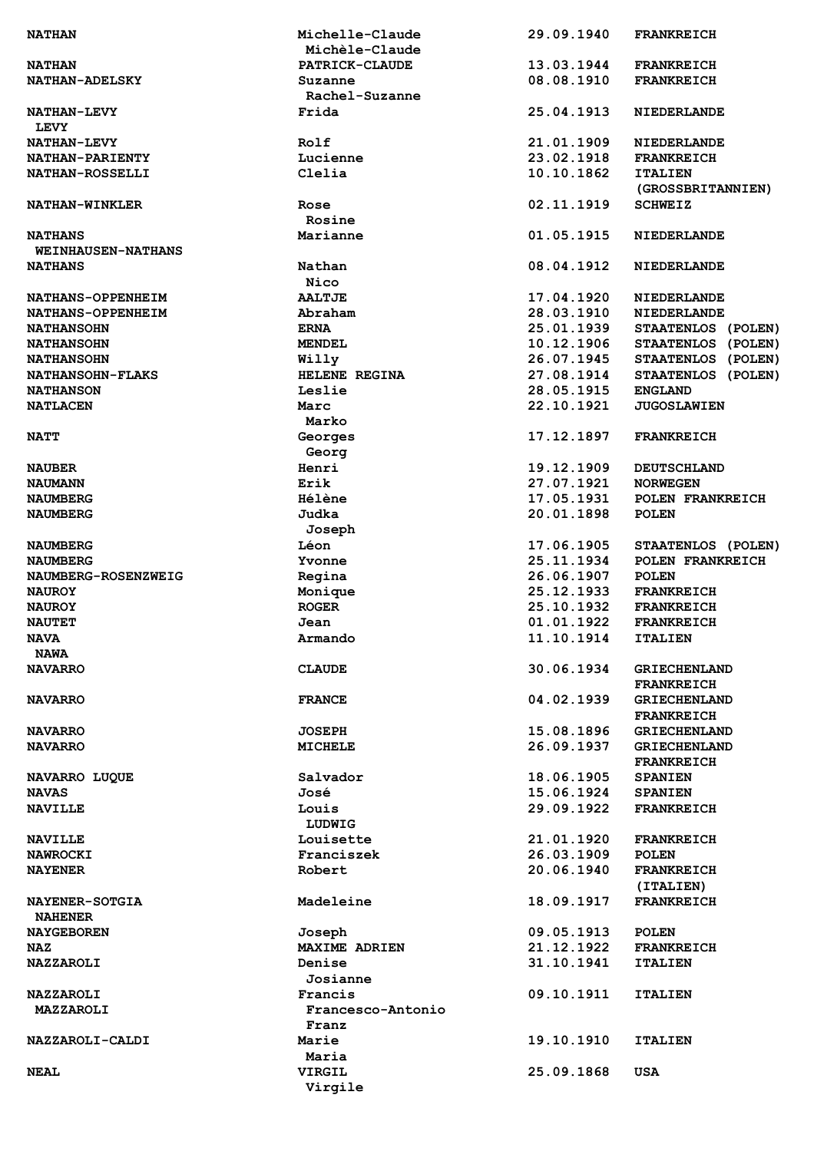| <b>NATHAN</b>                        | Michelle-Claude<br>Michèle-Claude | 29.09.1940 | <b>FRANKREICH</b>                        |
|--------------------------------------|-----------------------------------|------------|------------------------------------------|
| <b>NATHAN</b>                        | <b>PATRICK-CLAUDE</b>             | 13.03.1944 | <b>FRANKREICH</b>                        |
| <b>NATHAN-ADELSKY</b>                | Suzanne<br>Rachel-Suzanne         | 08.08.1910 | <b>FRANKREICH</b>                        |
| <b>NATHAN-LEVY</b><br><b>LEVY</b>    | Frida                             | 25.04.1913 | <b>NIEDERLANDE</b>                       |
| <b>NATHAN-LEVY</b>                   | Rolf                              | 21.01.1909 | <b>NIEDERLANDE</b>                       |
| NATHAN-PARIENTY                      | Lucienne                          | 23.02.1918 | <b>FRANKREICH</b>                        |
| NATHAN-ROSSELLI                      | Clelia                            | 10.10.1862 | <b>ITALIEN</b><br>(GROSSBRITANNIEN)      |
| <b>NATHAN-WINKLER</b>                | Rose<br>Rosine                    | 02.11.1919 | <b>SCHWEIZ</b>                           |
| <b>NATHANS</b><br>WEINHAUSEN-NATHANS | Marianne                          | 01.05.1915 | <b>NIEDERLANDE</b>                       |
| <b>NATHANS</b>                       | Nathan<br>Nico                    | 08.04.1912 | <b>NIEDERLANDE</b>                       |
| NATHANS-OPPENHEIM                    | <b>AALTJE</b>                     | 17.04.1920 | <b>NIEDERLANDE</b>                       |
| NATHANS-OPPENHEIM                    | Abraham                           | 28.03.1910 | <b>NIEDERLANDE</b>                       |
| <b>NATHANSOHN</b>                    | <b>ERNA</b>                       | 25.01.1939 | STAATENLOS (POLEN)                       |
| <b>NATHANSOHN</b>                    | <b>MENDEL</b>                     | 10.12.1906 | STAATENLOS (POLEN)                       |
| <b>NATHANSOHN</b>                    | Willy                             | 26.07.1945 | STAATENLOS (POLEN)                       |
|                                      | HELENE REGINA                     | 27.08.1914 |                                          |
| <b>NATHANSOHN-FLAKS</b>              |                                   |            | STAATENLOS (POLEN)                       |
| <b>NATHANSON</b>                     | Leslie                            | 28.05.1915 | <b>ENGLAND</b>                           |
| <b>NATLACEN</b>                      | Marc<br>Marko                     | 22.10.1921 | <b>JUGOSLAWIEN</b>                       |
| <b>NATT</b>                          | Georges<br>Georg                  | 17.12.1897 | <b>FRANKREICH</b>                        |
| <b>NAUBER</b>                        | Henri                             | 19.12.1909 | <b>DEUTSCHLAND</b>                       |
| <b>NAUMANN</b>                       | Erik                              | 27.07.1921 | <b>NORWEGEN</b>                          |
| <b>NAUMBERG</b>                      | <b>Hélène</b>                     | 17.05.1931 | POLEN FRANKREICH                         |
| <b>NAUMBERG</b>                      | Judka<br>Joseph                   | 20.01.1898 | <b>POLEN</b>                             |
| <b>NAUMBERG</b>                      | Léon                              | 17.06.1905 | STAATENLOS (POLEN)                       |
| <b>NAUMBERG</b>                      | Yvonne                            | 25.11.1934 | POLEN FRANKREICH                         |
| NAUMBERG-ROSENZWEIG                  | Regina                            | 26.06.1907 | <b>POLEN</b>                             |
| <b>NAUROY</b>                        | Monique                           | 25.12.1933 | <b>FRANKREICH</b>                        |
| <b>NAUROY</b>                        | <b>ROGER</b>                      | 25.10.1932 | <b>FRANKREICH</b>                        |
| <b>NAUTET</b>                        | Jean                              | 01.01.1922 | <b>FRANKREICH</b>                        |
| <b>NAVA</b>                          | Armando                           | 11.10.1914 | <b>ITALIEN</b>                           |
| <b>NAWA</b>                          |                                   |            |                                          |
| <b>NAVARRO</b>                       | <b>CLAUDE</b>                     | 30.06.1934 | <b>GRIECHENLAND</b><br><b>FRANKREICH</b> |
| <b>NAVARRO</b>                       | <b>FRANCE</b>                     | 04.02.1939 | <b>GRIECHENLAND</b><br><b>FRANKREICH</b> |
| <b>NAVARRO</b>                       | <b>JOSEPH</b>                     | 15.08.1896 | <b>GRIECHENLAND</b>                      |
| <b>NAVARRO</b>                       | MICHELE                           | 26.09.1937 | <b>GRIECHENLAND</b><br><b>FRANKREICH</b> |
| <b>NAVARRO LUQUE</b>                 | Salvador                          | 18.06.1905 | <b>SPANIEN</b>                           |
| <b>NAVAS</b>                         | José                              | 15.06.1924 | <b>SPANIEN</b>                           |
| <b>NAVILLE</b>                       | Louis<br>LUDWIG                   | 29.09.1922 | <b>FRANKREICH</b>                        |
| <b>NAVILLE</b>                       | Louisette                         | 21.01.1920 | <b>FRANKREICH</b>                        |
| NAWROCKI                             | Franciszek                        | 26.03.1909 | <b>POLEN</b>                             |
| <b>NAYENER</b>                       | Robert                            | 20.06.1940 | <b>FRANKREICH</b><br>(ITALIEN)           |
| <b>NAYENER-SOTGIA</b>                | Madeleine                         | 18.09.1917 | <b>FRANKREICH</b>                        |
| <b>NAHENER</b>                       |                                   |            |                                          |
| <b>NAYGEBOREN</b>                    | Joseph                            | 09.05.1913 | <b>POLEN</b>                             |
| NAZ                                  | <b>MAXIME ADRIEN</b>              | 21.12.1922 | <b>FRANKREICH</b>                        |
| <b>NAZZAROLI</b>                     | Denise<br>Josianne                | 31.10.1941 | <b>ITALIEN</b>                           |
| <b>NAZZAROLI</b>                     | Francis                           | 09.10.1911 | <b>ITALIEN</b>                           |
| <b>MAZZAROLI</b>                     | Francesco-Antonio<br>Franz        |            |                                          |
| NAZZAROLI-CALDI                      | Marie                             | 19.10.1910 | <b>ITALIEN</b>                           |
|                                      | Maria                             |            |                                          |
| <b>NEAL</b>                          | <b>VIRGIL</b><br>Virgile          | 25.09.1868 | USA                                      |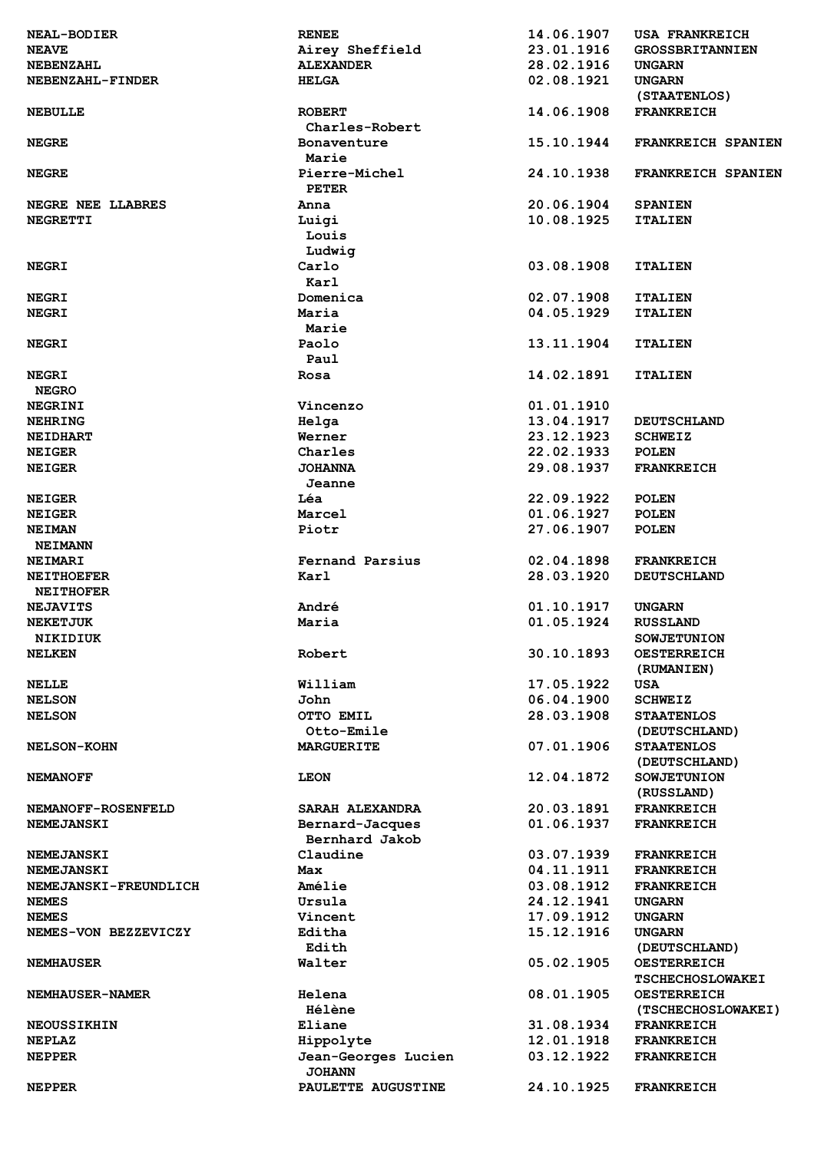| <b>NEAL-BODIER</b>    | <b>RENEE</b>        | 14.06.1907 | <b>USA FRANKREICH</b>   |
|-----------------------|---------------------|------------|-------------------------|
| <b>NEAVE</b>          | Airey Sheffield     | 23.01.1916 | <b>GROSSBRITANNIEN</b>  |
| <b>NEBENZAHL</b>      | <b>ALEXANDER</b>    | 28.02.1916 | <b>UNGARN</b>           |
| NEBENZAHL-FINDER      | <b>HELGA</b>        | 02.08.1921 | <b>UNGARN</b>           |
|                       |                     |            | (STAATENLOS)            |
| <b>NEBULLE</b>        | <b>ROBERT</b>       | 14.06.1908 | <b>FRANKREICH</b>       |
|                       | Charles-Robert      |            |                         |
| <b>NEGRE</b>          | Bonaventure         | 15.10.1944 | FRANKREICH SPANIEN      |
|                       | Marie               |            |                         |
| <b>NEGRE</b>          | Pierre-Michel       | 24.10.1938 | FRANKREICH SPANIEN      |
|                       | <b>PETER</b>        |            |                         |
| NEGRE NEE LLABRES     | Anna                | 20.06.1904 | <b>SPANIEN</b>          |
| NEGRETTI              | Luigi               | 10.08.1925 | <b>ITALIEN</b>          |
|                       | Louis               |            |                         |
|                       |                     |            |                         |
|                       | Ludwig              |            |                         |
| <b>NEGRI</b>          | Carlo               | 03.08.1908 | <b>ITALIEN</b>          |
|                       | Karl                |            |                         |
| <b>NEGRI</b>          | Domenica            | 02.07.1908 | <b>ITALIEN</b>          |
| <b>NEGRI</b>          | Maria               | 04.05.1929 | <b>ITALIEN</b>          |
|                       | Marie               |            |                         |
| <b>NEGRI</b>          | Paolo               | 13.11.1904 | <b>ITALIEN</b>          |
|                       | Paul                |            |                         |
| <b>NEGRI</b>          | Rosa                | 14.02.1891 | <b>ITALIEN</b>          |
| <b>NEGRO</b>          |                     |            |                         |
| <b>NEGRINI</b>        | Vincenzo            | 01.01.1910 |                         |
| <b>NEHRING</b>        | Helga               | 13.04.1917 | <b>DEUTSCHLAND</b>      |
| <b>NEIDHART</b>       | Werner              | 23.12.1923 | <b>SCHWEIZ</b>          |
| <b>NEIGER</b>         | Charles             | 22.02.1933 | <b>POLEN</b>            |
| <b>NEIGER</b>         | <b>JOHANNA</b>      | 29.08.1937 | <b>FRANKREICH</b>       |
|                       | Jeanne              |            |                         |
| <b>NEIGER</b>         | Léa                 | 22.09.1922 | <b>POLEN</b>            |
| <b>NEIGER</b>         | Marcel              | 01.06.1927 | <b>POLEN</b>            |
| <b>NEIMAN</b>         | Piotr               | 27.06.1907 | <b>POLEN</b>            |
| <b>NEIMANN</b>        |                     |            |                         |
| <b>NEIMARI</b>        | Fernand Parsius     | 02.04.1898 | <b>FRANKREICH</b>       |
|                       |                     |            |                         |
| <b>NEITHOEFER</b>     | Karl                | 28.03.1920 | <b>DEUTSCHLAND</b>      |
| <b>NEITHOFER</b>      |                     |            |                         |
| <b>NEJAVITS</b>       | André               | 01.10.1917 | <b>UNGARN</b>           |
| <b>NEKETJUK</b>       | Maria               | 01.05.1924 | <b>RUSSLAND</b>         |
| NIKIDIUK              |                     |            | <b>SOWJETUNION</b>      |
| <b>NELKEN</b>         | Robert              | 30.10.1893 | <b>OESTERREICH</b>      |
|                       |                     |            | (RUMANIEN)              |
| <b>NELLE</b>          | William             | 17.05.1922 | USA                     |
| <b>NELSON</b>         | John                | 06.04.1900 | <b>SCHWEIZ</b>          |
| <b>NELSON</b>         | OTTO EMIL           | 28.03.1908 | <b>STAATENLOS</b>       |
|                       | Otto-Emile          |            | (DEUTSCHLAND)           |
| <b>NELSON-KOHN</b>    | <b>MARGUERITE</b>   | 07.01.1906 | <b>STAATENLOS</b>       |
|                       |                     |            | (DEUTSCHLAND)           |
| <b>NEMANOFF</b>       | <b>LEON</b>         | 12.04.1872 | <b>SOWJETUNION</b>      |
|                       |                     |            | (RUSSLAND)              |
| NEMANOFF-ROSENFELD    | SARAH ALEXANDRA     | 20.03.1891 | <b>FRANKREICH</b>       |
| <b>NEMEJANSKI</b>     | Bernard-Jacques     | 01.06.1937 | <b>FRANKREICH</b>       |
|                       | Bernhard Jakob      |            |                         |
| <b>NEMEJANSKI</b>     | Claudine            | 03.07.1939 | <b>FRANKREICH</b>       |
| <b>NEMEJANSKI</b>     | Max                 | 04.11.1911 | <b>FRANKREICH</b>       |
| NEMEJANSKI-FREUNDLICH | Amélie              | 03.08.1912 | <b>FRANKREICH</b>       |
|                       |                     | 24.12.1941 |                         |
| <b>NEMES</b>          | Ursula              |            | UNGARN                  |
| <b>NEMES</b>          | Vincent             | 17.09.1912 | <b>UNGARN</b>           |
| NEMES-VON BEZZEVICZY  | Editha              | 15.12.1916 | UNGARN                  |
|                       | Edith               |            | (DEUTSCHLAND)           |
| <b>NEMHAUSER</b>      | Walter              | 05.02.1905 | <b>OESTERREICH</b>      |
|                       |                     |            | <b>TSCHECHOSLOWAKEI</b> |
| NEMHAUSER-NAMER       | Helena              | 08.01.1905 | <b>OESTERREICH</b>      |
|                       | <b>Hélène</b>       |            | (TSCHECHOSLOWAKEI)      |
| <b>NEOUSSIKHIN</b>    | Eliane              | 31.08.1934 | <b>FRANKREICH</b>       |
| <b>NEPLAZ</b>         | Hippolyte           | 12.01.1918 | <b>FRANKREICH</b>       |
| <b>NEPPER</b>         | Jean-Georges Lucien | 03.12.1922 | <b>FRANKREICH</b>       |
|                       | <b>JOHANN</b>       |            |                         |
| <b>NEPPER</b>         | PAULETTE AUGUSTINE  | 24.10.1925 | <b>FRANKREICH</b>       |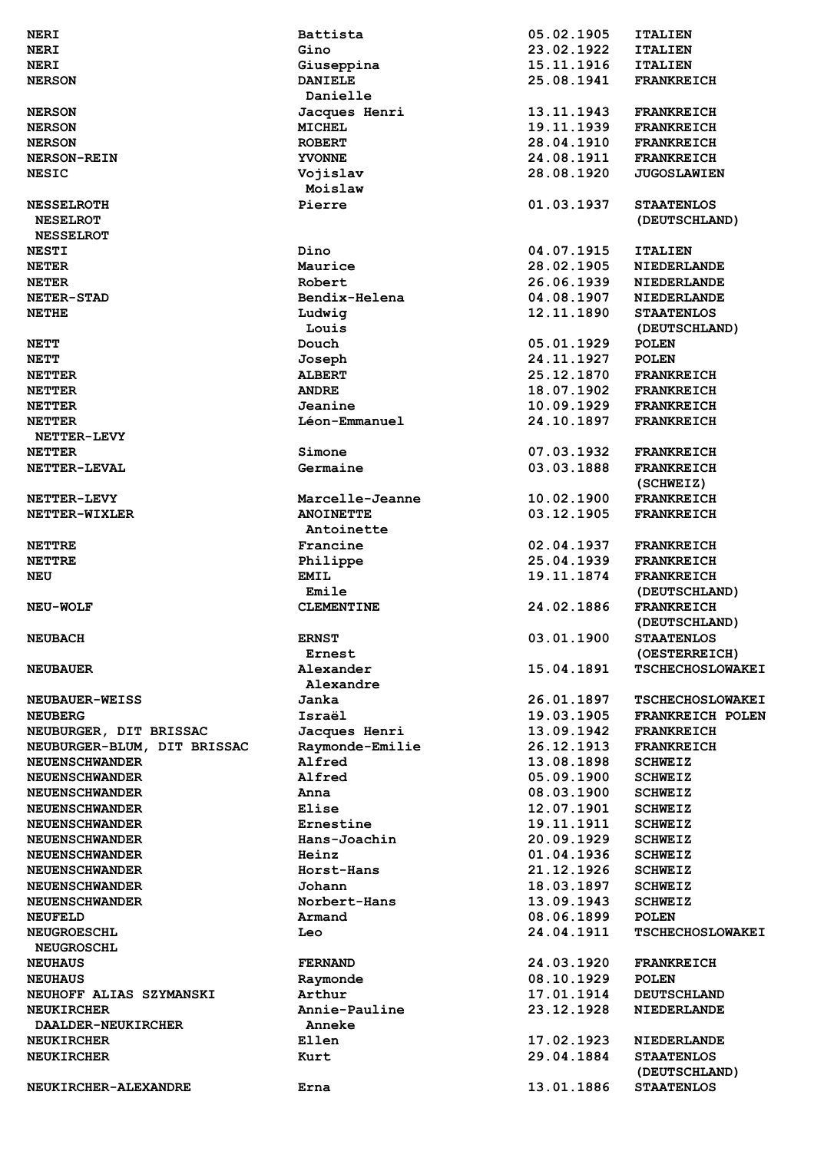| <b>NERI</b>                 | Battista          | 05.02.1905 | <b>ITALIEN</b>                     |
|-----------------------------|-------------------|------------|------------------------------------|
| <b>NERI</b>                 | Gino              | 23.02.1922 | <b>ITALIEN</b>                     |
| <b>NERI</b>                 | Giuseppina        | 15.11.1916 | <b>ITALIEN</b>                     |
| <b>NERSON</b>               | <b>DANIELE</b>    | 25.08.1941 | <b>FRANKREICH</b>                  |
|                             | Danielle          |            |                                    |
| <b>NERSON</b>               | Jacques Henri     | 13.11.1943 | <b>FRANKREICH</b>                  |
| <b>NERSON</b>               | <b>MICHEL</b>     | 19.11.1939 | <b>FRANKREICH</b>                  |
|                             | <b>ROBERT</b>     | 28.04.1910 |                                    |
| <b>NERSON</b>               |                   |            | <b>FRANKREICH</b>                  |
| <b>NERSON-REIN</b>          | <b>YVONNE</b>     | 24.08.1911 | <b>FRANKREICH</b>                  |
| <b>NESIC</b>                | Vojislav          | 28.08.1920 | <b>JUGOSLAWIEN</b>                 |
|                             | Moislaw           |            |                                    |
| <b>NESSELROTH</b>           | Pierre            | 01.03.1937 | <b>STAATENLOS</b>                  |
| <b>NESELROT</b>             |                   |            | (DEUTSCHLAND)                      |
| <b>NESSELROT</b>            |                   |            |                                    |
| <b>NESTI</b>                | Dino              | 04.07.1915 | <b>ITALIEN</b>                     |
| <b>NETER</b>                | Maurice           | 28.02.1905 | <b>NIEDERLANDE</b>                 |
| <b>NETER</b>                | Robert            | 26.06.1939 | <b>NIEDERLANDE</b>                 |
| NETER-STAD                  | Bendix-Helena     | 04.08.1907 | <b>NIEDERLANDE</b>                 |
| <b>NETHE</b>                | Ludwig            | 12.11.1890 | <b>STAATENLOS</b>                  |
|                             | Louis             |            | (DEUTSCHLAND)                      |
| <b>NETT</b>                 | Douch             | 05.01.1929 | <b>POLEN</b>                       |
| <b>NETT</b>                 | Joseph            | 24.11.1927 | <b>POLEN</b>                       |
| <b>NETTER</b>               | <b>ALBERT</b>     | 25.12.1870 | <b>FRANKREICH</b>                  |
| <b>NETTER</b>               | <b>ANDRE</b>      | 18.07.1902 | <b>FRANKREICH</b>                  |
| <b>NETTER</b>               | Jeanine           | 10.09.1929 | <b>FRANKREICH</b>                  |
| <b>NETTER</b>               | Léon-Emmanuel     | 24.10.1897 | <b>FRANKREICH</b>                  |
| NETTER-LEVY                 |                   |            |                                    |
| <b>NETTER</b>               | Simone            | 07.03.1932 | <b>FRANKREICH</b>                  |
| <b>NETTER-LEVAL</b>         | Germaine          | 03.03.1888 | <b>FRANKREICH</b>                  |
|                             |                   |            |                                    |
|                             |                   |            | (SCHWEIZ)                          |
| <b>NETTER-LEVY</b>          | Marcelle-Jeanne   | 10.02.1900 | <b>FRANKREICH</b>                  |
| NETTER-WIXLER               | <b>ANOINETTE</b>  | 03.12.1905 | <b>FRANKREICH</b>                  |
|                             | Antoinette        |            |                                    |
| <b>NETTRE</b>               | Francine          | 02.04.1937 | <b>FRANKREICH</b>                  |
| <b>NETTRE</b>               | Philippe          | 25.04.1939 | <b>FRANKREICH</b>                  |
| <b>NEU</b>                  | <b>EMIL</b>       | 19.11.1874 | <b>FRANKREICH</b>                  |
|                             | Emile             |            | (DEUTSCHLAND)                      |
| <b>NEU-WOLF</b>             | <b>CLEMENTINE</b> | 24.02.1886 | <b>FRANKREICH</b>                  |
|                             |                   |            | (DEUTSCHLAND)                      |
| <b>NEUBACH</b>              | <b>ERNST</b>      | 03.01.1900 | <b>STAATENLOS</b>                  |
|                             | <b>Ernest</b>     |            | (OESTERREICH)                      |
| <b>NEUBAUER</b>             | Alexander         | 15.04.1891 | <b>TSCHECHOSLOWAKEI</b>            |
|                             | Alexandre         |            |                                    |
| <b>NEUBAUER-WEISS</b>       | Janka             | 26.01.1897 | <b>TSCHECHOSLOWAKEI</b>            |
| <b>NEUBERG</b>              | Israël            | 19.03.1905 | FRANKREICH POLEN                   |
| NEUBURGER, DIT BRISSAC      | Jacques Henri     | 13.09.1942 | <b>FRANKREICH</b>                  |
| NEUBURGER-BLUM, DIT BRISSAC | Raymonde-Emilie   | 26.12.1913 | <b>FRANKREICH</b>                  |
| <b>NEUENSCHWANDER</b>       | Alfred            | 13.08.1898 | <b>SCHWEIZ</b>                     |
| <b>NEUENSCHWANDER</b>       | Alfred            | 05.09.1900 | <b>SCHWEIZ</b>                     |
|                             | Anna              | 08.03.1900 |                                    |
| <b>NEUENSCHWANDER</b>       | Elise             | 12.07.1901 | <b>SCHWEIZ</b>                     |
| <b>NEUENSCHWANDER</b>       |                   |            | <b>SCHWEIZ</b>                     |
| <b>NEUENSCHWANDER</b>       | Ernestine         | 19.11.1911 | <b>SCHWEIZ</b>                     |
| <b>NEUENSCHWANDER</b>       | Hans-Joachin      | 20.09.1929 | <b>SCHWEIZ</b>                     |
| <b>NEUENSCHWANDER</b>       | Heinz             | 01.04.1936 | <b>SCHWEIZ</b>                     |
| <b>NEUENSCHWANDER</b>       | Horst-Hans        | 21.12.1926 | <b>SCHWEIZ</b>                     |
| <b>NEUENSCHWANDER</b>       | Johann            | 18.03.1897 | <b>SCHWEIZ</b>                     |
| <b>NEUENSCHWANDER</b>       | Norbert-Hans      | 13.09.1943 | <b>SCHWEIZ</b>                     |
| <b>NEUFELD</b>              | Armand            | 08.06.1899 | <b>POLEN</b>                       |
| <b>NEUGROESCHL</b>          | Leo               | 24.04.1911 | <b>TSCHECHOSLOWAKEI</b>            |
| <b>NEUGROSCHL</b>           |                   |            |                                    |
| <b>NEUHAUS</b>              | <b>FERNAND</b>    | 24.03.1920 | <b>FRANKREICH</b>                  |
| <b>NEUHAUS</b>              | Raymonde          | 08.10.1929 | <b>POLEN</b>                       |
| NEUHOFF ALIAS SZYMANSKI     | Arthur            | 17.01.1914 | <b>DEUTSCHLAND</b>                 |
| <b>NEUKIRCHER</b>           | Annie-Pauline     | 23.12.1928 | <b>NIEDERLANDE</b>                 |
| <b>DAALDER-NEUKIRCHER</b>   | Anneke            |            |                                    |
| <b>NEUKIRCHER</b>           |                   | 17.02.1923 | <b>NIEDERLANDE</b>                 |
|                             |                   |            |                                    |
|                             | Ellen             |            |                                    |
| <b>NEUKIRCHER</b>           | Kurt              | 29.04.1884 | <b>STAATENLOS</b>                  |
| NEUKIRCHER-ALEXANDRE        | Erna              | 13.01.1886 | (DEUTSCHLAND)<br><b>STAATENLOS</b> |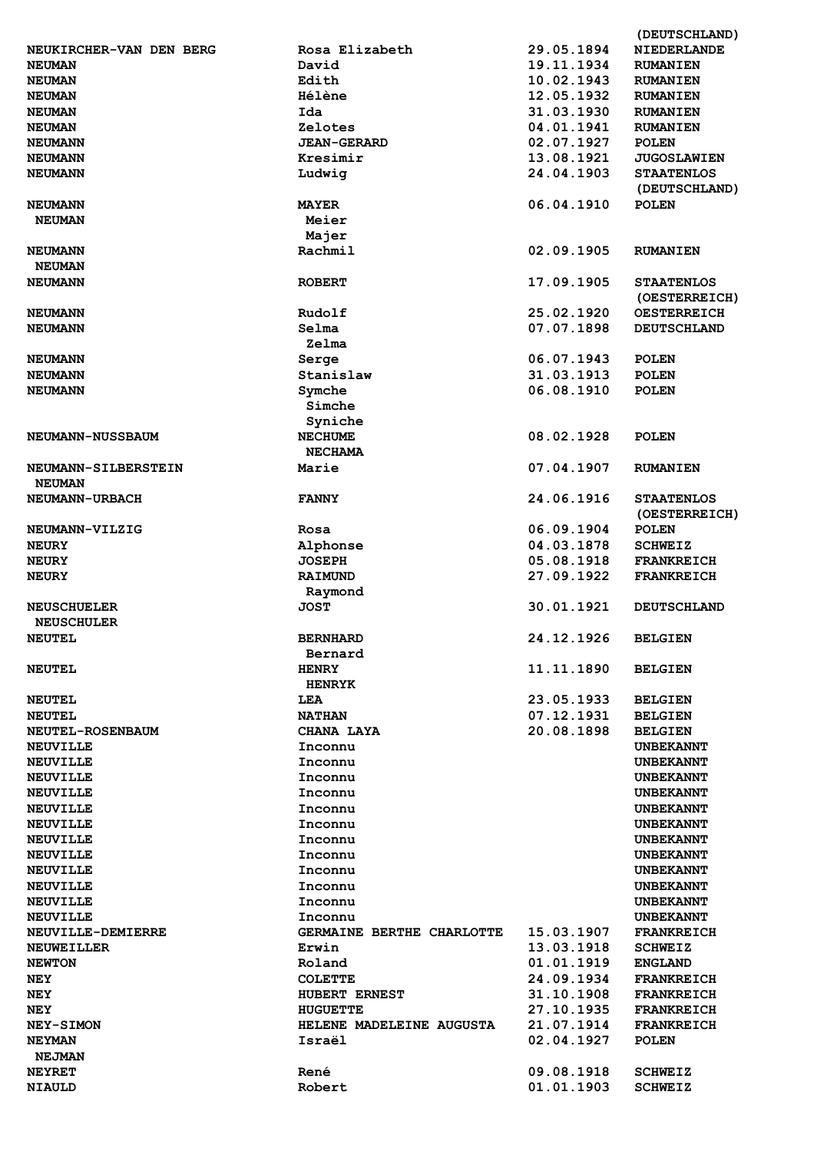|                         |                           |            | (DEUTSCHLAND)      |
|-------------------------|---------------------------|------------|--------------------|
| NEUKIRCHER-VAN DEN BERG | Rosa Elizabeth            | 29.05.1894 | <b>NIEDERLANDE</b> |
| <b>NEUMAN</b>           | David                     | 19.11.1934 | <b>RUMANIEN</b>    |
| <b>NEUMAN</b>           | Edith                     | 10.02.1943 | <b>RUMANIEN</b>    |
| <b>NEUMAN</b>           | <b>Hélène</b>             | 12.05.1932 | <b>RUMANIEN</b>    |
| <b>NEUMAN</b>           | Ida                       | 31.03.1930 | <b>RUMANIEN</b>    |
| <b>NEUMAN</b>           | Zelotes                   | 04.01.1941 | <b>RUMANIEN</b>    |
| <b>NEUMANN</b>          | <b>JEAN-GERARD</b>        | 02.07.1927 | <b>POLEN</b>       |
| <b>NEUMANN</b>          | Kresimir                  | 13.08.1921 | <b>JUGOSLAWIEN</b> |
| <b>NEUMANN</b>          | Ludwig                    | 24.04.1903 | <b>STAATENLOS</b>  |
|                         |                           |            | (DEUTSCHLAND)      |
| <b>NEUMANN</b>          | <b>MAYER</b>              | 06.04.1910 | <b>POLEN</b>       |
| <b>NEUMAN</b>           | Meier                     |            |                    |
|                         |                           |            |                    |
|                         | Majer<br>Rachmil          |            |                    |
| <b>NEUMANN</b>          |                           | 02.09.1905 | <b>RUMANIEN</b>    |
| <b>NEUMAN</b>           |                           |            |                    |
| <b>NEUMANN</b>          | <b>ROBERT</b>             | 17.09.1905 | <b>STAATENLOS</b>  |
|                         |                           |            | (OESTERREICH)      |
| <b>NEUMANN</b>          | Rudolf                    | 25.02.1920 | <b>OESTERREICH</b> |
| <b>NEUMANN</b>          | Selma                     | 07.07.1898 | <b>DEUTSCHLAND</b> |
|                         | Zelma                     |            |                    |
| <b>NEUMANN</b>          | Serge                     | 06.07.1943 | <b>POLEN</b>       |
| <b>NEUMANN</b>          | Stanislaw                 | 31.03.1913 | <b>POLEN</b>       |
| <b>NEUMANN</b>          | Symche                    | 06.08.1910 | <b>POLEN</b>       |
|                         | Simche                    |            |                    |
|                         | Syniche                   |            |                    |
| <b>NEUMANN-NUSSBAUM</b> | <b>NECHUME</b>            | 08.02.1928 | <b>POLEN</b>       |
|                         | <b>NECHAMA</b>            |            |                    |
| NEUMANN-SILBERSTEIN     | Marie                     | 07.04.1907 | <b>RUMANIEN</b>    |
| <b>NEUMAN</b>           |                           |            |                    |
| <b>NEUMANN-URBACH</b>   | <b>FANNY</b>              | 24.06.1916 | <b>STAATENLOS</b>  |
|                         |                           |            | (OESTERREICH)      |
| NEUMANN-VILZIG          | Rosa                      | 06.09.1904 | <b>POLEN</b>       |
| <b>NEURY</b>            | Alphonse                  | 04.03.1878 | <b>SCHWEIZ</b>     |
| <b>NEURY</b>            | <b>JOSEPH</b>             | 05.08.1918 | <b>FRANKREICH</b>  |
| <b>NEURY</b>            | <b>RAIMUND</b>            | 27.09.1922 | <b>FRANKREICH</b>  |
|                         | Raymond                   |            |                    |
| <b>NEUSCHUELER</b>      | <b>JOST</b>               | 30.01.1921 | <b>DEUTSCHLAND</b> |
| <b>NEUSCHULER</b>       |                           |            |                    |
|                         |                           |            |                    |
| <b>NEUTEL</b>           | <b>BERNHARD</b>           | 24.12.1926 | <b>BELGIEN</b>     |
|                         | Bernard                   |            |                    |
| <b>NEUTEL</b>           | <b>HENRY</b>              | 11.11.1890 | <b>BELGIEN</b>     |
|                         | <b>HENRYK</b>             |            |                    |
| <b>NEUTEL</b>           | LEA                       | 23.05.1933 | <b>BELGIEN</b>     |
| <b>NEUTEL</b>           | <b>NATHAN</b>             | 07.12.1931 | <b>BELGIEN</b>     |
| <b>NEUTEL-ROSENBAUM</b> | CHANA LAYA                | 20.08.1898 | <b>BELGIEN</b>     |
| <b>NEUVILLE</b>         | Inconnu                   |            | <b>UNBEKANNT</b>   |
| <b>NEUVILLE</b>         | Inconnu                   |            | <b>UNBEKANNT</b>   |
| <b>NEUVILLE</b>         | Inconnu                   |            | <b>UNBEKANNT</b>   |
| <b>NEUVILLE</b>         | Inconnu                   |            | <b>UNBEKANNT</b>   |
| <b>NEUVILLE</b>         | Inconnu                   |            | <b>UNBEKANNT</b>   |
| <b>NEUVILLE</b>         | Inconnu                   |            | <b>UNBEKANNT</b>   |
| <b>NEUVILLE</b>         | Inconnu                   |            | <b>UNBEKANNT</b>   |
| <b>NEUVILLE</b>         | Inconnu                   |            | <b>UNBEKANNT</b>   |
| <b>NEUVILLE</b>         | Inconnu                   |            | <b>UNBEKANNT</b>   |
| <b>NEUVILLE</b>         | Inconnu                   |            | <b>UNBEKANNT</b>   |
| <b>NEUVILLE</b>         | Inconnu                   |            | <b>UNBEKANNT</b>   |
| <b>NEUVILLE</b>         | Inconnu                   |            | <b>UNBEKANNT</b>   |
| NEUVILLE-DEMIERRE       | GERMAINE BERTHE CHARLOTTE | 15.03.1907 | <b>FRANKREICH</b>  |
| <b>NEUWEILLER</b>       | Erwin                     | 13.03.1918 | <b>SCHWEIZ</b>     |
| <b>NEWTON</b>           | Roland                    | 01.01.1919 | <b>ENGLAND</b>     |
| NEY                     | <b>COLETTE</b>            | 24.09.1934 | <b>FRANKREICH</b>  |
|                         |                           | 31.10.1908 | <b>FRANKREICH</b>  |
| NEY<br>NEY              | HUBERT ERNEST<br>HUGUETTE | 27.10.1935 | <b>FRANKREICH</b>  |
|                         |                           |            |                    |
| <b>NEY-SIMON</b>        | HELENE MADELEINE AUGUSTA  | 21.07.1914 | <b>FRANKREICH</b>  |
| <b>NEYMAN</b>           | Israël                    | 02.04.1927 | <b>POLEN</b>       |
| <b>NEJMAN</b>           |                           |            |                    |
| <b>NEYRET</b>           | René                      | 09.08.1918 | <b>SCHWEIZ</b>     |
| <b>NIAULD</b>           | Robert                    | 01.01.1903 | <b>SCHWEIZ</b>     |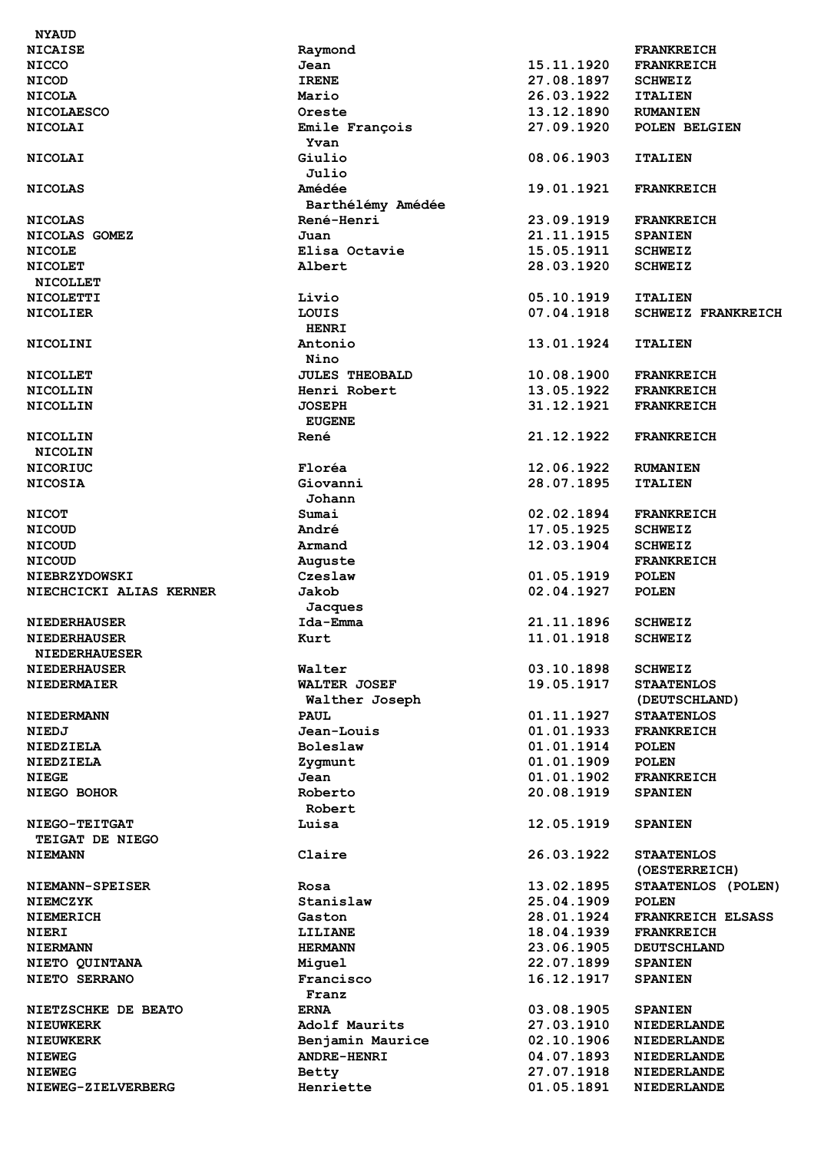| <b>NYAUD</b>                  |                             |                          |                              |
|-------------------------------|-----------------------------|--------------------------|------------------------------|
| <b>NICAISE</b>                | Raymond                     |                          | <b>FRANKREICH</b>            |
| <b>NICCO</b>                  | Jean                        | 15.11.1920               | <b>FRANKREICH</b>            |
| <b>NICOD</b>                  | <b>IRENE</b>                | 27.08.1897               | <b>SCHWEIZ</b>               |
| <b>NICOLA</b>                 | Mario                       | 26.03.1922               | <b>ITALIEN</b>               |
| <b>NICOLAESCO</b>             | Oreste                      | 13.12.1890               | <b>RUMANIEN</b>              |
| <b>NICOLAI</b>                | Emile François<br>Yvan      | 27.09.1920               | POLEN BELGIEN                |
| <b>NICOLAI</b>                | Giulio<br>Julio             | 08.06.1903               | <b>ITALIEN</b>               |
| <b>NICOLAS</b>                | Amédée<br>Barthélémy Amédée | 19.01.1921               | <b>FRANKREICH</b>            |
| <b>NICOLAS</b>                | René-Henri                  | 23.09.1919               | <b>FRANKREICH</b>            |
| NICOLAS GOMEZ                 | Juan                        | 21.11.1915               | <b>SPANIEN</b>               |
| <b>NICOLE</b>                 | Elisa Octavie               | 15.05.1911               | <b>SCHWEIZ</b>               |
| <b>NICOLET</b>                | Albert                      | 28.03.1920               | <b>SCHWEIZ</b>               |
| <b>NICOLLET</b>               |                             |                          |                              |
| <b>NICOLETTI</b>              | Livio                       | 05.10.1919               | <b>ITALIEN</b>               |
| <b>NICOLIER</b>               | LOUIS                       | 07.04.1918               | <b>SCHWEIZ FRANKREICH</b>    |
|                               | <b>HENRI</b>                |                          |                              |
| <b>NICOLINI</b>               | Antonio                     | 13.01.1924               | <b>ITALIEN</b>               |
|                               | Nino                        |                          |                              |
| <b>NICOLLET</b>               | <b>JULES THEOBALD</b>       | 10.08.1900               | <b>FRANKREICH</b>            |
| <b>NICOLLIN</b>               | Henri Robert                | 13.05.1922               | <b>FRANKREICH</b>            |
| <b>NICOLLIN</b>               | <b>JOSEPH</b>               | 31.12.1921               | <b>FRANKREICH</b>            |
|                               | <b>EUGENE</b>               |                          |                              |
| <b>NICOLLIN</b>               | René                        | 21.12.1922               | <b>FRANKREICH</b>            |
| <b>NICOLIN</b>                |                             |                          |                              |
| <b>NICORIUC</b>               | Floréa                      | 12.06.1922               | <b>RUMANIEN</b>              |
| <b>NICOSIA</b>                | Giovanni                    | 28.07.1895               | <b>ITALIEN</b>               |
|                               | Johann                      |                          |                              |
| <b>NICOT</b>                  | Sumai                       | 02.02.1894               | <b>FRANKREICH</b>            |
| <b>NICOUD</b>                 | André                       | 17.05.1925               | <b>SCHWEIZ</b>               |
| <b>NICOUD</b>                 | Armand                      | 12.03.1904               | <b>SCHWEIZ</b>               |
| <b>NICOUD</b>                 | Auguste                     |                          | <b>FRANKREICH</b>            |
| <b>NIEBRZYDOWSKI</b>          | Czeslaw                     | 01.05.1919               | <b>POLEN</b>                 |
| NIECHCICKI ALIAS KERNER       | Jakob                       | 02.04.1927               | <b>POLEN</b>                 |
|                               | Jacques                     |                          |                              |
| <b>NIEDERHAUSER</b>           | Ida-Emma                    | 21.11.1896               | <b>SCHWEIZ</b>               |
| <b>NIEDERHAUSER</b>           | Kurt                        | 11.01.1918               | <b>SCHWEIZ</b>               |
| <b>NIEDERHAUESER</b>          |                             |                          |                              |
| <b>NIEDERHAUSER</b>           | Walter                      | 03.10.1898               | <b>SCHWEIZ</b>               |
| <b>NIEDERMAIER</b>            | <b>WALTER JOSEF</b>         | 19.05.1917               | <b>STAATENLOS</b>            |
|                               | Walther Joseph              |                          | (DEUTSCHLAND)                |
| <b>NIEDERMANN</b>             | <b>PAUL</b>                 | 01.11.1927               | <b>STAATENLOS</b>            |
| NIEDJ                         | Jean-Louis<br>Boleslaw      | 01.01.1933<br>01.01.1914 | <b>FRANKREICH</b>            |
| NIEDZIELA<br><b>NIEDZIELA</b> |                             | 01.01.1909               | <b>POLEN</b><br><b>POLEN</b> |
| <b>NIEGE</b>                  | Zygmunt<br>Jean             | 01.01.1902               | <b>FRANKREICH</b>            |
| <b>NIEGO BOHOR</b>            | Roberto                     | 20.08.1919               | <b>SPANIEN</b>               |
|                               | Robert                      |                          |                              |
| NIEGO-TEITGAT                 | Luisa                       | 12.05.1919               | <b>SPANIEN</b>               |
| <b>TEIGAT DE NIEGO</b>        |                             |                          |                              |
| <b>NIEMANN</b>                | Claire                      | 26.03.1922               | <b>STAATENLOS</b>            |
|                               |                             |                          | (OESTERREICH)                |
| <b>NIEMANN-SPEISER</b>        | Rosa                        | 13.02.1895               | STAATENLOS (POLEN)           |
| <b>NIEMCZYK</b>               | Stanislaw                   | 25.04.1909               | <b>POLEN</b>                 |
| <b>NIEMERICH</b>              | Gaston                      | 28.01.1924               | FRANKREICH ELSASS            |
| <b>NIERI</b>                  | LILIANE                     | 18.04.1939               | <b>FRANKREICH</b>            |
| <b>NIERMANN</b>               | <b>HERMANN</b>              | 23.06.1905               | <b>DEUTSCHLAND</b>           |
| NIETO QUINTANA                | Miguel                      | 22.07.1899               | <b>SPANIEN</b>               |
| NIETO SERRANO                 | Francisco                   | 16.12.1917               | <b>SPANIEN</b>               |
|                               | Franz                       |                          |                              |
| NIETZSCHKE DE BEATO           | <b>ERNA</b>                 | 03.08.1905               | <b>SPANIEN</b>               |
| <b>NIEUWKERK</b>              | Adolf Maurits               | 27.03.1910               | <b>NIEDERLANDE</b>           |
| <b>NIEUWKERK</b>              | Benjamin Maurice            | 02.10.1906               | <b>NIEDERLANDE</b>           |
| <b>NIEWEG</b>                 | <b>ANDRE-HENRI</b>          | 04.07.1893               | <b>NIEDERLANDE</b>           |
| <b>NIEWEG</b>                 | Betty                       | 27.07.1918               | <b>NIEDERLANDE</b>           |
| NIEWEG-ZIELVERBERG            | Henriette                   | 01.05.1891               | <b>NIEDERLANDE</b>           |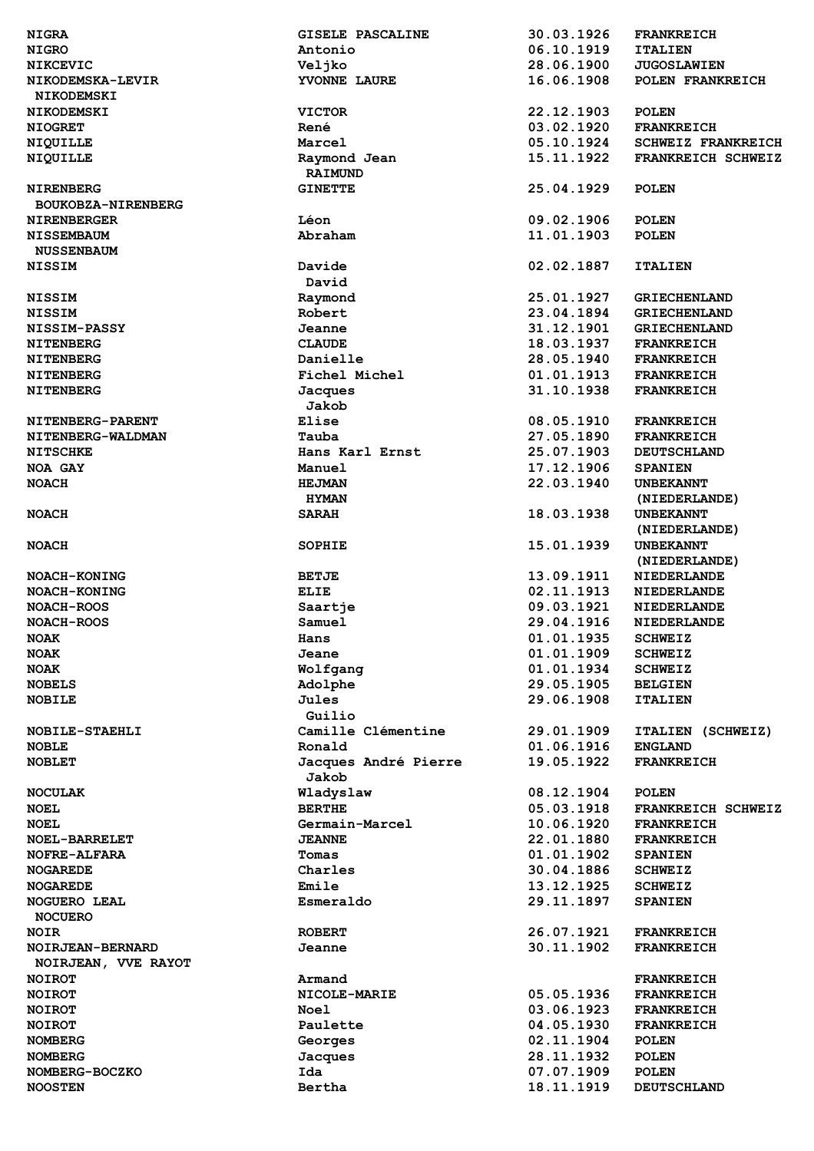| <b>NIGRA</b>         | GISELE PASCALINE     | 30.03.1926 | <b>FRANKREICH</b>         |
|----------------------|----------------------|------------|---------------------------|
| <b>NIGRO</b>         | Antonio              | 06.10.1919 | <b>ITALIEN</b>            |
|                      |                      |            |                           |
| <b>NIKCEVIC</b>      | Veljko               | 28.06.1900 | <b>JUGOSLAWIEN</b>        |
| NIKODEMSKA-LEVIR     | YVONNE LAURE         | 16.06.1908 | POLEN FRANKREICH          |
| <b>NIKODEMSKI</b>    |                      |            |                           |
| <b>NIKODEMSKI</b>    | <b>VICTOR</b>        | 22.12.1903 | <b>POLEN</b>              |
| <b>NIOGRET</b>       | René                 | 03.02.1920 | <b>FRANKREICH</b>         |
| NIQUILLE             | Marcel               | 05.10.1924 | <b>SCHWEIZ FRANKREICH</b> |
| <b>NIQUILLE</b>      | Raymond Jean         | 15.11.1922 | FRANKREICH SCHWEIZ        |
|                      | <b>RAIMUND</b>       |            |                           |
|                      | <b>GINETTE</b>       | 25.04.1929 |                           |
| <b>NIRENBERG</b>     |                      |            | <b>POLEN</b>              |
| BOUKOBZA-NIRENBERG   |                      |            |                           |
| <b>NIRENBERGER</b>   | Léon                 | 09.02.1906 | <b>POLEN</b>              |
| <b>NISSEMBAUM</b>    | Abraham              | 11.01.1903 | <b>POLEN</b>              |
| <b>NUSSENBAUM</b>    |                      |            |                           |
| <b>NISSIM</b>        | Davide               | 02.02.1887 | <b>ITALIEN</b>            |
|                      | David                |            |                           |
| <b>NISSIM</b>        | Raymond              | 25.01.1927 | <b>GRIECHENLAND</b>       |
| <b>NISSIM</b>        | Robert               | 23.04.1894 | <b>GRIECHENLAND</b>       |
| <b>NISSIM-PASSY</b>  | Jeanne               | 31.12.1901 | <b>GRIECHENLAND</b>       |
| <b>NITENBERG</b>     | <b>CLAUDE</b>        | 18.03.1937 | <b>FRANKREICH</b>         |
|                      |                      |            |                           |
| <b>NITENBERG</b>     | Danielle             | 28.05.1940 | <b>FRANKREICH</b>         |
| <b>NITENBERG</b>     | Fichel Michel        | 01.01.1913 | <b>FRANKREICH</b>         |
| <b>NITENBERG</b>     | Jacques              | 31.10.1938 | <b>FRANKREICH</b>         |
|                      | Jakob                |            |                           |
| NITENBERG-PARENT     | Elise                | 08.05.1910 | <b>FRANKREICH</b>         |
| NITENBERG-WALDMAN    | Tauba                | 27.05.1890 | <b>FRANKREICH</b>         |
| <b>NITSCHKE</b>      | Hans Karl Ernst      | 25.07.1903 | <b>DEUTSCHLAND</b>        |
| NOA GAY              | Manuel               | 17.12.1906 | <b>SPANIEN</b>            |
| <b>NOACH</b>         | <b>HEJMAN</b>        | 22.03.1940 | <b>UNBEKANNT</b>          |
|                      | <b>HYMAN</b>         |            | (NIEDERLANDE)             |
|                      |                      | 18.03.1938 |                           |
| <b>NOACH</b>         | <b>SARAH</b>         |            | <b>UNBEKANNT</b>          |
|                      |                      |            | (NIEDERLANDE)             |
| <b>NOACH</b>         | <b>SOPHIE</b>        | 15.01.1939 | <b>UNBEKANNT</b>          |
|                      |                      |            | (NIEDERLANDE)             |
| NOACH-KONING         | <b>BETJE</b>         | 13.09.1911 | <b>NIEDERLANDE</b>        |
| NOACH-KONING         | ELIE                 | 02.11.1913 | <b>NIEDERLANDE</b>        |
| <b>NOACH-ROOS</b>    | Saartje              | 09.03.1921 | <b>NIEDERLANDE</b>        |
| <b>NOACH-ROOS</b>    | Samuel               | 29.04.1916 | <b>NIEDERLANDE</b>        |
| <b>NOAK</b>          | Hans                 | 01.01.1935 | <b>SCHWEIZ</b>            |
|                      |                      |            |                           |
| <b>NOAK</b>          | Jeane                | 01.01.1909 | <b>SCHWEIZ</b>            |
| <b>NOAK</b>          | Wolfgang             | 01.01.1934 | <b>SCHWEIZ</b>            |
| <b>NOBELS</b>        | Adolphe              | 29.05.1905 | <b>BELGIEN</b>            |
| <b>NOBILE</b>        | Jules                | 29.06.1908 | <b>ITALIEN</b>            |
|                      | Guilio               |            |                           |
| NOBILE-STAEHLI       | Camille Clémentine   | 29.01.1909 | ITALIEN (SCHWEIZ)         |
| <b>NOBLE</b>         | Ronald               | 01.06.1916 | <b>ENGLAND</b>            |
| <b>NOBLET</b>        | Jacques André Pierre | 19.05.1922 | <b>FRANKREICH</b>         |
|                      | Jakob                |            |                           |
| <b>NOCULAK</b>       | Wladyslaw            | 08.12.1904 | <b>POLEN</b>              |
| <b>NOEL</b>          | <b>BERTHE</b>        | 05.03.1918 | FRANKREICH SCHWEIZ        |
|                      |                      |            |                           |
| <b>NOEL</b>          | Germain-Marcel       | 10.06.1920 | <b>FRANKREICH</b>         |
| <b>NOEL-BARRELET</b> | <b>JEANNE</b>        | 22.01.1880 | <b>FRANKREICH</b>         |
| <b>NOFRE-ALFARA</b>  | Tomas                | 01.01.1902 | <b>SPANIEN</b>            |
| <b>NOGAREDE</b>      | Charles              | 30.04.1886 | <b>SCHWEIZ</b>            |
| <b>NOGAREDE</b>      | Emile                | 13.12.1925 | <b>SCHWEIZ</b>            |
| <b>NOGUERO LEAL</b>  | Esmeraldo            | 29.11.1897 | <b>SPANIEN</b>            |
| <b>NOCUERO</b>       |                      |            |                           |
| <b>NOIR</b>          | <b>ROBERT</b>        | 26.07.1921 | <b>FRANKREICH</b>         |
| NOIRJEAN-BERNARD     | Jeanne               | 30.11.1902 | <b>FRANKREICH</b>         |
| NOIRJEAN, VVE RAYOT  |                      |            |                           |
|                      | Armand               |            |                           |
| <b>NOIROT</b>        |                      |            | <b>FRANKREICH</b>         |
| <b>NOIROT</b>        | NICOLE-MARIE         | 05.05.1936 | <b>FRANKREICH</b>         |
| <b>NOIROT</b>        | <b>Noel</b>          | 03.06.1923 | <b>FRANKREICH</b>         |
| <b>NOIROT</b>        | Paulette             | 04.05.1930 | <b>FRANKREICH</b>         |
| <b>NOMBERG</b>       | Georges              | 02.11.1904 | <b>POLEN</b>              |
| <b>NOMBERG</b>       | Jacques              | 28.11.1932 | <b>POLEN</b>              |
| NOMBERG-BOCZKO       | Ida                  | 07.07.1909 | <b>POLEN</b>              |
| <b>NOOSTEN</b>       | Bertha               | 18.11.1919 | <b>DEUTSCHLAND</b>        |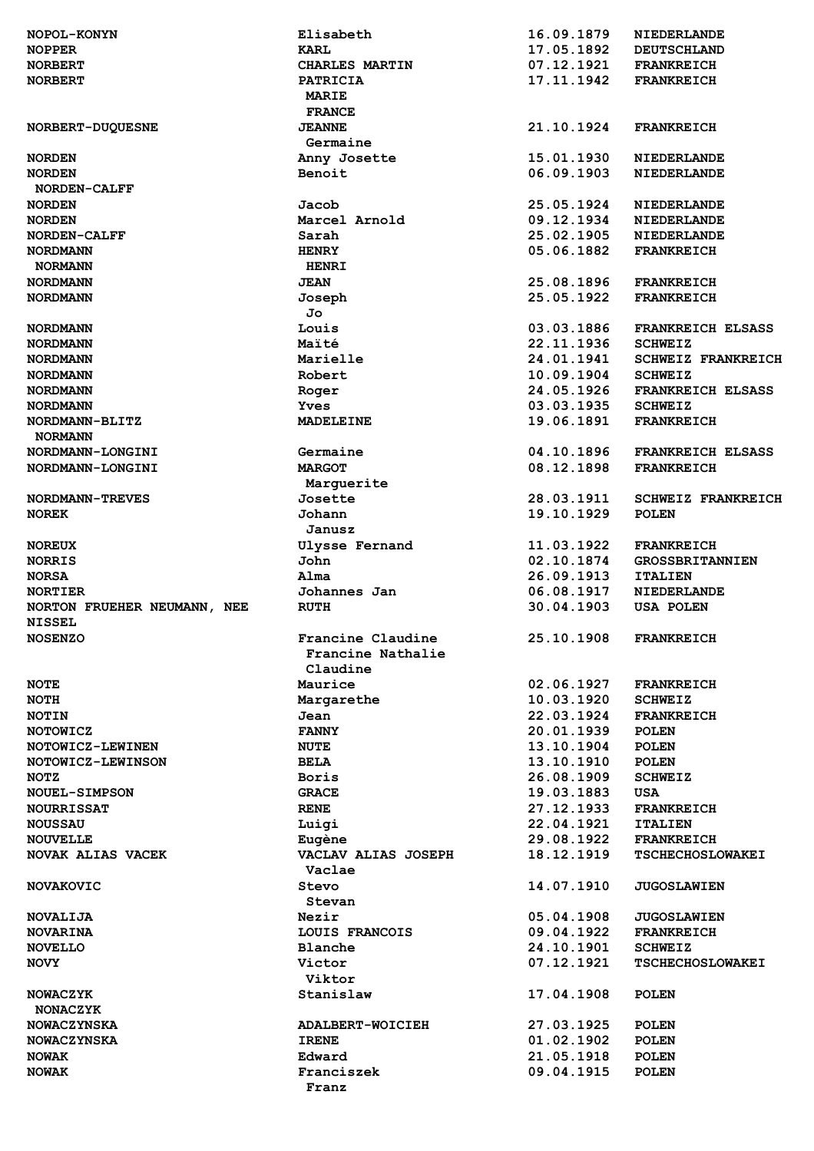| <b>NOPOL-KONYN</b>          | Elisabeth               | 16.09.1879 | <b>NIEDERLANDE</b>        |
|-----------------------------|-------------------------|------------|---------------------------|
| <b>NOPPER</b>               | <b>KARL</b>             | 17.05.1892 | <b>DEUTSCHLAND</b>        |
| <b>NORBERT</b>              | CHARLES MARTIN          | 07.12.1921 | <b>FRANKREICH</b>         |
| <b>NORBERT</b>              | <b>PATRICIA</b>         | 17.11.1942 | <b>FRANKREICH</b>         |
|                             | <b>MARIE</b>            |            |                           |
|                             | <b>FRANCE</b>           |            |                           |
| NORBERT-DUQUESNE            | <b>JEANNE</b>           | 21.10.1924 | <b>FRANKREICH</b>         |
|                             | Germaine                |            |                           |
| <b>NORDEN</b>               | Anny Josette            | 15.01.1930 | <b>NIEDERLANDE</b>        |
| <b>NORDEN</b>               | Benoit                  | 06.09.1903 | <b>NIEDERLANDE</b>        |
| NORDEN-CALFF                |                         |            |                           |
| <b>NORDEN</b>               | Jacob                   | 25.05.1924 | <b>NIEDERLANDE</b>        |
| <b>NORDEN</b>               | Marcel Arnold           | 09.12.1934 | <b>NIEDERLANDE</b>        |
| NORDEN-CALFF                | Sarah                   | 25.02.1905 | <b>NIEDERLANDE</b>        |
|                             |                         |            |                           |
| <b>NORDMANN</b>             | <b>HENRY</b>            | 05.06.1882 | <b>FRANKREICH</b>         |
| <b>NORMANN</b>              | <b>HENRI</b>            |            |                           |
| <b>NORDMANN</b>             | <b>JEAN</b>             | 25.08.1896 | <b>FRANKREICH</b>         |
| <b>NORDMANN</b>             | Joseph                  | 25.05.1922 | <b>FRANKREICH</b>         |
|                             | Jo                      |            |                           |
| <b>NORDMANN</b>             | Louis                   | 03.03.1886 | <b>FRANKREICH ELSASS</b>  |
| <b>NORDMANN</b>             | Maïté                   | 22.11.1936 | <b>SCHWEIZ</b>            |
| <b>NORDMANN</b>             | Marielle                | 24.01.1941 | <b>SCHWEIZ FRANKREICH</b> |
| <b>NORDMANN</b>             | Robert                  | 10.09.1904 | <b>SCHWEIZ</b>            |
| <b>NORDMANN</b>             | Roger                   | 24.05.1926 | <b>FRANKREICH ELSASS</b>  |
| <b>NORDMANN</b>             | Yves                    | 03.03.1935 | <b>SCHWEIZ</b>            |
| NORDMANN-BLITZ              | <b>MADELEINE</b>        | 19.06.1891 | <b>FRANKREICH</b>         |
| <b>NORMANN</b>              |                         |            |                           |
| NORDMANN-LONGINI            | Germaine                | 04.10.1896 | <b>FRANKREICH ELSASS</b>  |
| NORDMANN-LONGINI            | <b>MARGOT</b>           | 08.12.1898 | <b>FRANKREICH</b>         |
|                             | Marguerite              |            |                           |
| <b>NORDMANN-TREVES</b>      | Josette                 | 28.03.1911 | <b>SCHWEIZ FRANKREICH</b> |
| <b>NOREK</b>                | Johann                  | 19.10.1929 | <b>POLEN</b>              |
|                             | Janusz                  |            |                           |
|                             | <b>Ulysse Fernand</b>   | 11.03.1922 | <b>FRANKREICH</b>         |
| <b>NOREUX</b>               |                         |            |                           |
| <b>NORRIS</b>               | John                    | 02.10.1874 | <b>GROSSBRITANNIEN</b>    |
|                             |                         |            |                           |
| <b>NORSA</b>                | Alma                    | 26.09.1913 | <b>ITALIEN</b>            |
| <b>NORTIER</b>              | Johannes Jan            | 06.08.1917 | <b>NIEDERLANDE</b>        |
| NORTON FRUEHER NEUMANN, NEE | <b>RUTH</b>             | 30.04.1903 | <b>USA POLEN</b>          |
| <b>NISSEL</b>               |                         |            |                           |
| <b>NOSENZO</b>              | Francine Claudine       | 25.10.1908 | <b>FRANKREICH</b>         |
|                             | Francine Nathalie       |            |                           |
|                             | Claudine                |            |                           |
| <b>NOTE</b>                 | Maurice                 | 02.06.1927 | <b>FRANKREICH</b>         |
| <b>NOTH</b>                 | Margarethe              | 10.03.1920 | <b>SCHWEIZ</b>            |
| <b>NOTIN</b>                | Jean                    | 22.03.1924 | <b>FRANKREICH</b>         |
|                             | <b>FANNY</b>            | 20.01.1939 |                           |
| <b>NOTOWICZ</b>             |                         |            | <b>POLEN</b>              |
| NOTOWICZ-LEWINEN            | <b>NUTE</b>             | 13.10.1904 | <b>POLEN</b>              |
| NOTOWICZ-LEWINSON           | <b>BELA</b>             | 13.10.1910 | <b>POLEN</b>              |
| <b>NOTZ</b>                 | <b>Boris</b>            | 26.08.1909 | <b>SCHWEIZ</b>            |
| <b>NOUEL-SIMPSON</b>        | <b>GRACE</b>            | 19.03.1883 | USA                       |
| <b>NOURRISSAT</b>           | <b>RENE</b>             | 27.12.1933 | <b>FRANKREICH</b>         |
| <b>NOUSSAU</b>              | Luigi                   | 22.04.1921 | <b>ITALIEN</b>            |
| <b>NOUVELLE</b>             | Eugène                  | 29.08.1922 | <b>FRANKREICH</b>         |
| <b>NOVAK ALIAS VACEK</b>    | VACLAV ALIAS JOSEPH     | 18.12.1919 | <b>TSCHECHOSLOWAKEI</b>   |
|                             | Vaclae                  |            |                           |
| <b>NOVAKOVIC</b>            | Stevo                   | 14.07.1910 | <b>JUGOSLAWIEN</b>        |
|                             | Stevan                  |            |                           |
| <b>NOVALIJA</b>             | Nezir                   | 05.04.1908 | <b>JUGOSLAWIEN</b>        |
| <b>NOVARINA</b>             | LOUIS FRANCOIS          | 09.04.1922 | <b>FRANKREICH</b>         |
| <b>NOVELLO</b>              | Blanche                 | 24.10.1901 | <b>SCHWEIZ</b>            |
| <b>NOVY</b>                 | Victor                  | 07.12.1921 | <b>TSCHECHOSLOWAKEI</b>   |
|                             | Viktor                  |            |                           |
| <b>NOWACZYK</b>             | Stanislaw               | 17.04.1908 | <b>POLEN</b>              |
| <b>NONACZYK</b>             |                         |            |                           |
| <b>NOWACZYNSKA</b>          | <b>ADALBERT-WOICIEH</b> | 27.03.1925 | <b>POLEN</b>              |
|                             | <b>IRENE</b>            |            |                           |
| <b>NOWACZYNSKA</b>          |                         | 01.02.1902 | <b>POLEN</b>              |
| <b>NOWAK</b>                | Edward                  | 21.05.1918 | <b>POLEN</b>              |
| NOWAK                       | Franciszek<br>Franz     | 09.04.1915 | <b>POLEN</b>              |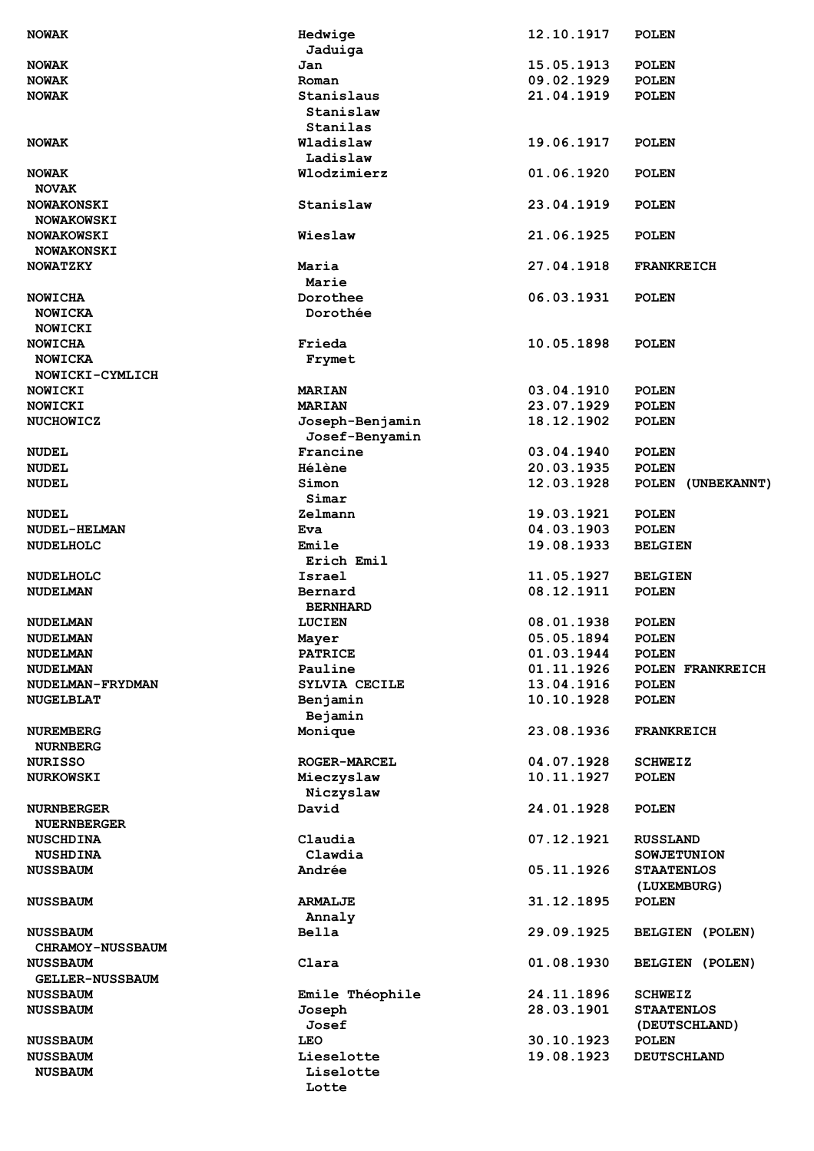| <b>NOWAK</b>            | Hedwige             | 12.10.1917 | <b>POLEN</b>       |
|-------------------------|---------------------|------------|--------------------|
|                         | Jaduiga             |            |                    |
| <b>NOWAK</b>            | Jan                 | 15.05.1913 | <b>POLEN</b>       |
| <b>NOWAK</b>            | Roman               | 09.02.1929 | <b>POLEN</b>       |
| <b>NOWAK</b>            | Stanislaus          | 21.04.1919 | <b>POLEN</b>       |
|                         | Stanislaw           |            |                    |
|                         | Stanilas            |            |                    |
| <b>NOWAK</b>            | Wladislaw           | 19.06.1917 | <b>POLEN</b>       |
|                         | Ladislaw            |            |                    |
| <b>NOWAK</b>            | Wlodzimierz         | 01.06.1920 | <b>POLEN</b>       |
| <b>NOVAK</b>            |                     |            |                    |
| <b>NOWAKONSKI</b>       | Stanislaw           | 23.04.1919 | <b>POLEN</b>       |
| <b>NOWAKOWSKI</b>       |                     |            |                    |
| <b>NOWAKOWSKI</b>       | Wieslaw             | 21.06.1925 | <b>POLEN</b>       |
| <b>NOWAKONSKI</b>       |                     |            |                    |
| <b>NOWATZKY</b>         | Maria               | 27.04.1918 | <b>FRANKREICH</b>  |
|                         | Marie               |            |                    |
| NOWICHA                 | Dorothee            | 06.03.1931 | <b>POLEN</b>       |
| NOWICKA                 | Dorothée            |            |                    |
| NOWICKI                 |                     |            |                    |
| <b>NOWICHA</b>          | Frieda              | 10.05.1898 | <b>POLEN</b>       |
| NOWICKA                 | Frymet              |            |                    |
| NOWICKI-CYMLICH         |                     |            |                    |
| NOWICKI                 | <b>MARIAN</b>       | 03.04.1910 | <b>POLEN</b>       |
| NOWICKI                 | <b>MARIAN</b>       | 23.07.1929 | <b>POLEN</b>       |
| <b>NUCHOWICZ</b>        | Joseph-Benjamin     | 18.12.1902 | <b>POLEN</b>       |
|                         | Josef-Benyamin      |            |                    |
| <b>NUDEL</b>            | Francine            | 03.04.1940 | <b>POLEN</b>       |
| <b>NUDEL</b>            | Hélène              | 20.03.1935 | <b>POLEN</b>       |
| <b>NUDEL</b>            | Simon               | 12.03.1928 | POLEN (UNBEKANNT)  |
|                         | Simar               |            |                    |
| <b>NUDEL</b>            | Zelmann             | 19.03.1921 | <b>POLEN</b>       |
| NUDEL-HELMAN            | Eva                 | 04.03.1903 | <b>POLEN</b>       |
| NUDELHOLC               | Emile               | 19.08.1933 | <b>BELGIEN</b>     |
|                         | Erich Emil          |            |                    |
| <b>NUDELHOLC</b>        | Israel              | 11.05.1927 | <b>BELGIEN</b>     |
| NUDELMAN                | Bernard             | 08.12.1911 | <b>POLEN</b>       |
|                         | <b>BERNHARD</b>     |            |                    |
| <b>NUDELMAN</b>         | <b>LUCIEN</b>       | 08.01.1938 | <b>POLEN</b>       |
| <b>NUDELMAN</b>         | Mayer               | 05.05.1894 | <b>POLEN</b>       |
| <b>NUDELMAN</b>         | <b>PATRICE</b>      | 01.03.1944 | <b>POLEN</b>       |
| <b>NUDELMAN</b>         | Pauline             | 01.11.1926 | POLEN FRANKREICH   |
| NUDELMAN-FRYDMAN        | SYLVIA CECILE       | 13.04.1916 | <b>POLEN</b>       |
| <b>NUGELBLAT</b>        | Benjamin            | 10.10.1928 | <b>POLEN</b>       |
|                         | Bejamin             |            |                    |
| <b>NUREMBERG</b>        | Monique             | 23.08.1936 | <b>FRANKREICH</b>  |
| <b>NURNBERG</b>         |                     |            |                    |
| <b>NURISSO</b>          | <b>ROGER-MARCEL</b> | 04.07.1928 | <b>SCHWEIZ</b>     |
| <b>NURKOWSKI</b>        | Mieczyslaw          | 10.11.1927 | <b>POLEN</b>       |
|                         | Niczyslaw           |            |                    |
| <b>NURNBERGER</b>       | David               | 24.01.1928 | <b>POLEN</b>       |
| <b>NUERNBERGER</b>      |                     |            |                    |
| <b>NUSCHDINA</b>        | Claudia             | 07.12.1921 | <b>RUSSLAND</b>    |
| <b>NUSHDINA</b>         | Clawdia             |            | <b>SOWJETUNION</b> |
| <b>NUSSBAUM</b>         | Andrée              | 05.11.1926 | <b>STAATENLOS</b>  |
|                         |                     |            | (LUXEMBURG)        |
| <b>NUSSBAUM</b>         | <b>ARMALJE</b>      | 31.12.1895 | <b>POLEN</b>       |
|                         | Annaly              |            |                    |
| <b>NUSSBAUM</b>         | <b>Bella</b>        | 29.09.1925 | BELGIEN (POLEN)    |
| <b>CHRAMOY-NUSSBAUM</b> |                     |            |                    |
| <b>NUSSBAUM</b>         | Clara               | 01.08.1930 | BELGIEN (POLEN)    |
| <b>GELLER-NUSSBAUM</b>  |                     |            |                    |
| <b>NUSSBAUM</b>         | Emile Théophile     | 24.11.1896 | <b>SCHWEIZ</b>     |
| <b>NUSSBAUM</b>         | Joseph              | 28.03.1901 | <b>STAATENLOS</b>  |
|                         | Josef               |            | (DEUTSCHLAND)      |
| <b>NUSSBAUM</b>         | LEO                 | 30.10.1923 | <b>POLEN</b>       |
| <b>NUSSBAUM</b>         | Lieselotte          | 19.08.1923 | <b>DEUTSCHLAND</b> |
| <b>NUSBAUM</b>          | Liselotte           |            |                    |
|                         | Lotte               |            |                    |
|                         |                     |            |                    |